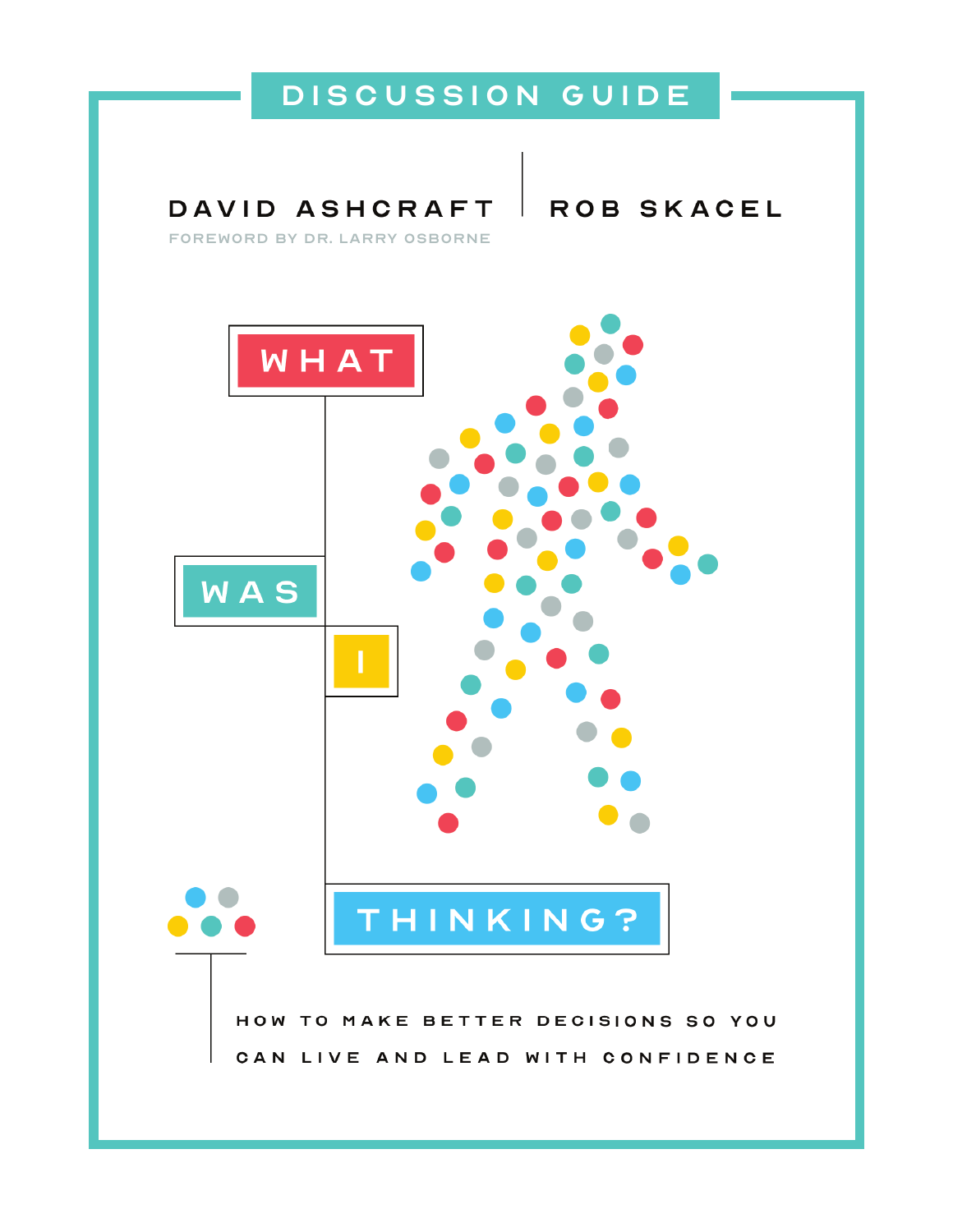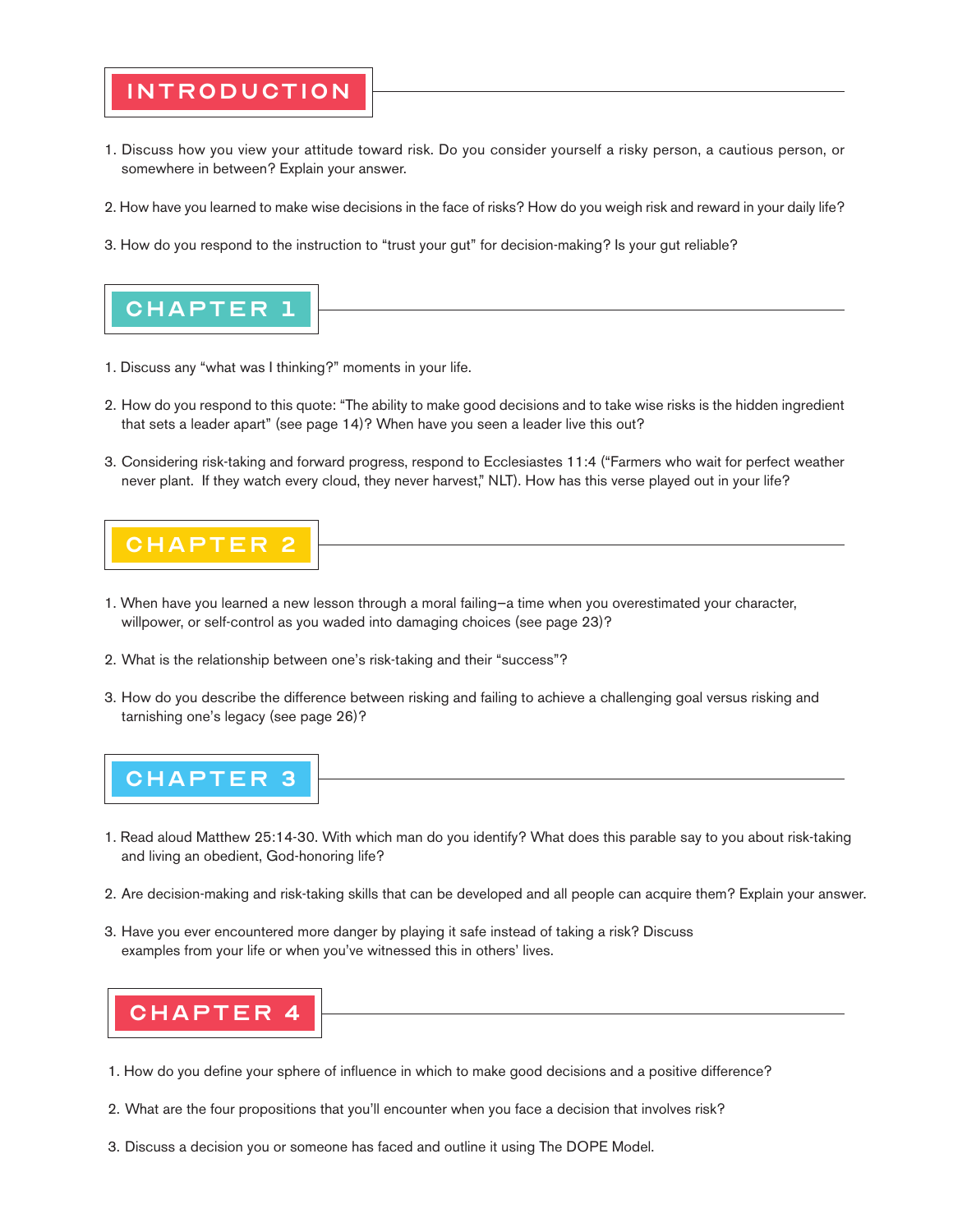#### introduction

- 1. Discuss how you view your attitude toward risk. Do you consider yourself a risky person, a cautious person, or somewhere in between? Explain your answer.
- 2. How have you learned to make wise decisions in the face of risks? How do you weigh risk and reward in your daily life?
- 3. How do you respond to the instruction to "trust your gut" for decision-making? Is your gut reliable?



- 1. Discuss any "what was I thinking?" moments in your life.
- 2. How do you respond to this quote: "The ability to make good decisions and to take wise risks is the hidden ingredient that sets a leader apart" (see page 14)? When have you seen a leader live this out?
- 3. Considering risk-taking and forward progress, respond to Ecclesiastes 11:4 ("Farmers who wait for perfect weather never plant. If they watch every cloud, they never harvest," NLT). How has this verse played out in your life?



- 1. When have you learned a new lesson through a moral failing—a time when you overestimated your character, willpower, or self-control as you waded into damaging choices (see page 23)?
- 2. What is the relationship between one's risk-taking and their "success"?
- 3. How do you describe the difference between risking and failing to achieve a challenging goal versus risking and tarnishing one's legacy (see page 26)?



- 1. Read aloud Matthew 25:14-30. With which man do you identify? What does this parable say to you about risk-taking and living an obedient, God-honoring life?
- 2. Are decision-making and risk-taking skills that can be developed and all people can acquire them? Explain your answer.
- 3. Have you ever encountered more danger by playing it safe instead of taking a risk? Discuss examples from your life or when you've witnessed this in others' lives.



- 1. How do you define your sphere of influence in which to make good decisions and a positive difference?
- 2. What are the four propositions that you'll encounter when you face a decision that involves risk?
- 3. Discuss a decision you or someone has faced and outline it using The DOPE Model.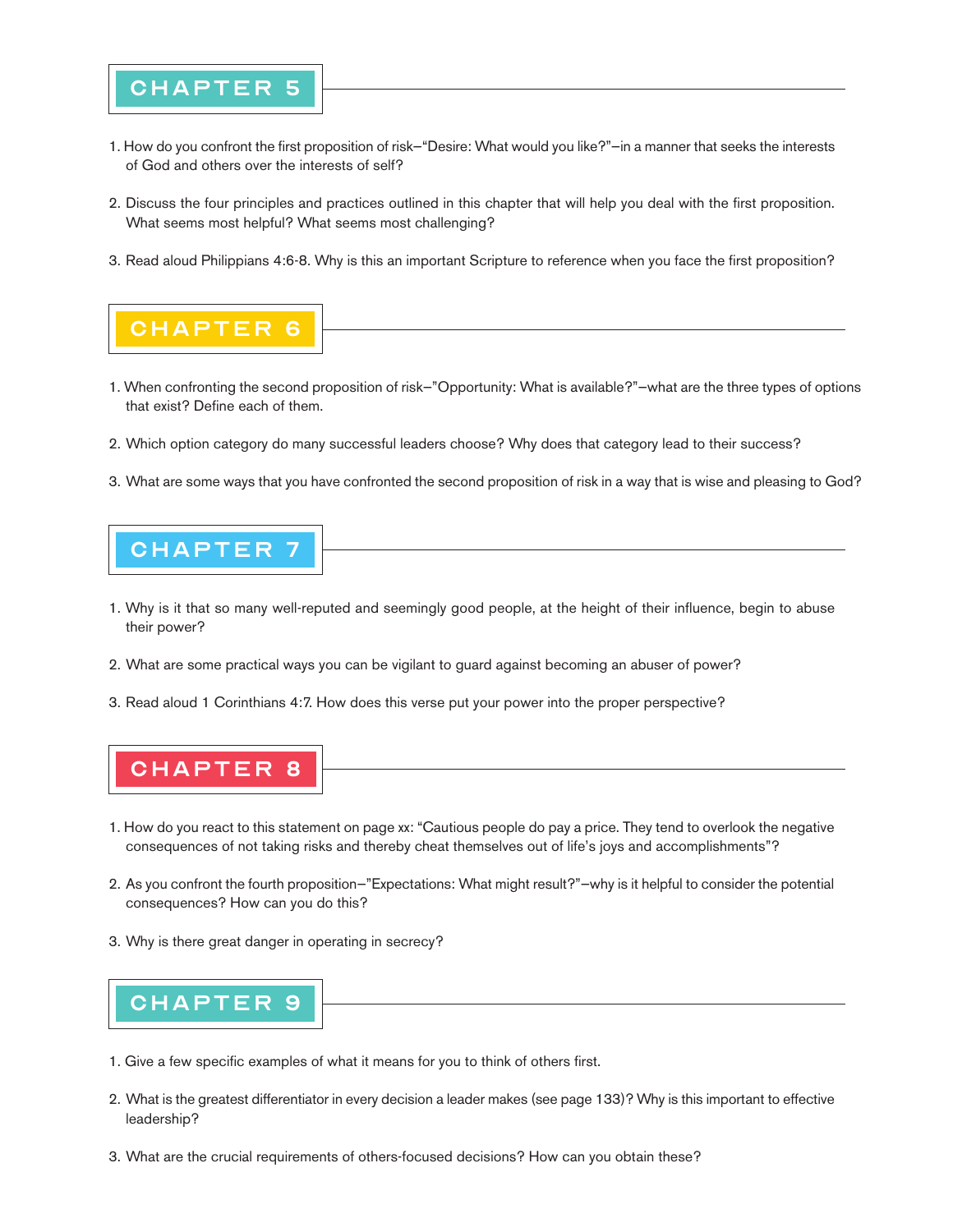### **CHAPTER**

- 1. How do you confront the first proposition of risk—"Desire: What would you like?"—in a manner that seeks the interests of God and others over the interests of self?
- 2. Discuss the four principles and practices outlined in this chapter that will help you deal with the first proposition. What seems most helpful? What seems most challenging?
- 3. Read aloud Philippians 4:6-8. Why is this an important Scripture to reference when you face the first proposition?



- 1. When confronting the second proposition of risk—"Opportunity: What is available?"—what are the three types of options that exist? Define each of them.
- 2. Which option category do many successful leaders choose? Why does that category lead to their success?
- 3. What are some ways that you have confronted the second proposition of risk in a way that is wise and pleasing to God?

## **CHAPTER**

- 1. Why is it that so many well-reputed and seemingly good people, at the height of their influence, begin to abuse their power?
- 2. What are some practical ways you can be vigilant to guard against becoming an abuser of power?
- 3. Read aloud 1 Corinthians 4:7. How does this verse put your power into the proper perspective?

# **CHAPTER 8**

- 1. How do you react to this statement on page xx: "Cautious people do pay a price. They tend to overlook the negative consequences of not taking risks and thereby cheat themselves out of life's joys and accomplishments"?
- 2. As you confront the fourth proposition—"Expectations: What might result?"—why is it helpful to consider the potential consequences? How can you do this?
- 3. Why is there great danger in operating in secrecy?



- 1. Give a few specific examples of what it means for you to think of others first.
- 2. What is the greatest differentiator in every decision a leader makes (see page 133)? Why is this important to effective leadership?
- 3. What are the crucial requirements of others-focused decisions? How can you obtain these?